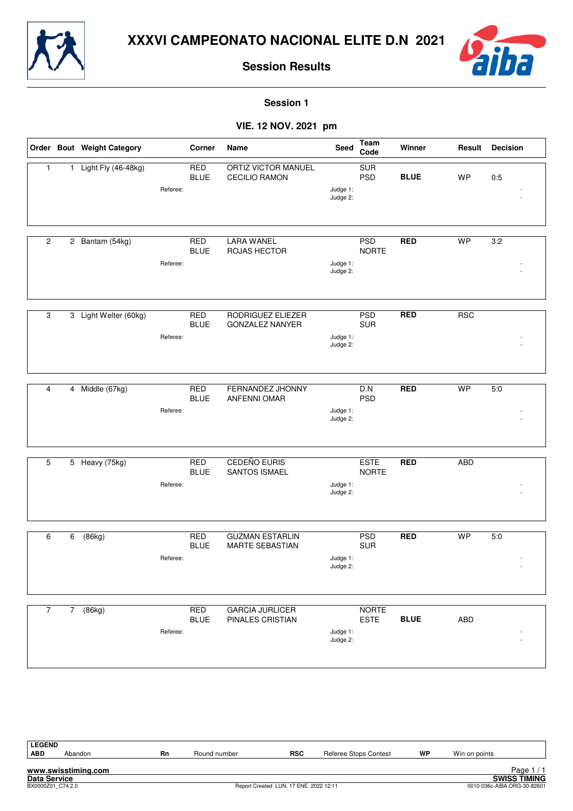



**Session 1**

#### **VIE. 12 NOV. 2021 pm**

|                |             | Order Bout Weight Category |          | Corner                    | Name                                        | Seed                 | Team<br>Code                | Winner      | Result     | <b>Decision</b>  |
|----------------|-------------|----------------------------|----------|---------------------------|---------------------------------------------|----------------------|-----------------------------|-------------|------------|------------------|
| $\mathbf{1}$   |             | 1 Light Fly (46-48kg)      | Referee: | <b>RED</b><br><b>BLUE</b> | ORTIZ VICTOR MANUEL<br><b>CECILIO RAMON</b> | Judge 1:<br>Judge 2: | SUR<br><b>PSD</b>           | <b>BLUE</b> | WP         | 0:5              |
| $\overline{c}$ |             | 2 Bantam (54kg)            |          | <b>RED</b>                | <b>LARA WANEL</b>                           |                      | <b>PSD</b>                  | <b>RED</b>  | <b>WP</b>  | 3:2              |
|                |             |                            | Referee: | <b>BLUE</b>               | ROJAS HECTOR                                | Judge 1:<br>Judge 2: | <b>NORTE</b>                |             |            |                  |
| 3              |             | 3 Light Welter (60kg)      |          | <b>RED</b>                | RODRIGUEZ ELIEZER                           |                      | <b>PSD</b>                  | <b>RED</b>  | <b>RSC</b> |                  |
|                |             |                            |          | <b>BLUE</b>               | <b>GONZALEZ NANYER</b>                      |                      | <b>SUR</b>                  |             |            |                  |
|                |             |                            | Referee: |                           |                                             | Judge 1:<br>Judge 2: |                             |             |            |                  |
| $\overline{4}$ |             | 4 Middle (67kg)            |          | <b>RED</b>                | FERNANDEZ JHONNY                            |                      | D.N                         | <b>RED</b>  | <b>WP</b>  | 5:0              |
|                |             |                            | Referee: | <b>BLUE</b>               | <b>ANFENNI OMAR</b>                         | Judge 1:<br>Judge 2: | <b>PSD</b>                  |             |            |                  |
|                |             |                            |          |                           |                                             |                      |                             |             |            |                  |
| 5              |             | 5 Heavy (75kg)             |          | <b>RED</b><br><b>BLUE</b> | <b>CEDEÑO EURIS</b><br>SANTOS ISMAEL        |                      | <b>ESTE</b><br><b>NORTE</b> | <b>RED</b>  | <b>ABD</b> |                  |
|                |             |                            | Referee: |                           |                                             | Judge 1:<br>Judge 2: |                             |             |            |                  |
| 6              | 6           | (86kg)                     |          | <b>RED</b>                | <b>GUZMAN ESTARLIN</b>                      |                      | <b>PSD</b>                  | <b>RED</b>  | <b>WP</b>  | $\overline{5:0}$ |
|                |             |                            |          | <b>BLUE</b>               | MARTE SEBASTIAN                             |                      | <b>SUR</b>                  |             |            |                  |
|                |             |                            | Referee: |                           |                                             | Judge 1:<br>Judge 2: |                             |             |            |                  |
| $\overline{7}$ | $7^{\circ}$ | (86kg)                     |          | <b>RED</b>                | <b>GARCIA JURLICER</b>                      |                      | <b>NORTE</b>                |             |            |                  |
|                |             |                            | Referee: | <b>BLUE</b>               | PINALES CRISTIAN                            | Judge 1:<br>Judge 2: | <b>ESTE</b>                 | <b>BLUE</b> | ABD        |                  |
|                |             |                            |          |                           |                                             |                      |                             |             |            |                  |

**www.swisstiming.com Data Service SWISS TIMING** Page 17 1<br>
BXVISS TIMING<br>
80010-036c-AIBA.ORG-30-82601 0010-036c-AIBA.ORG-30-82601 0010-036c-AIBA.ORG-30-82601 LEGEND<br>ABD **ABD** Abandon **Rn** Round number **RSC** Referee Stops Contest **WP** Win on points Page 1/1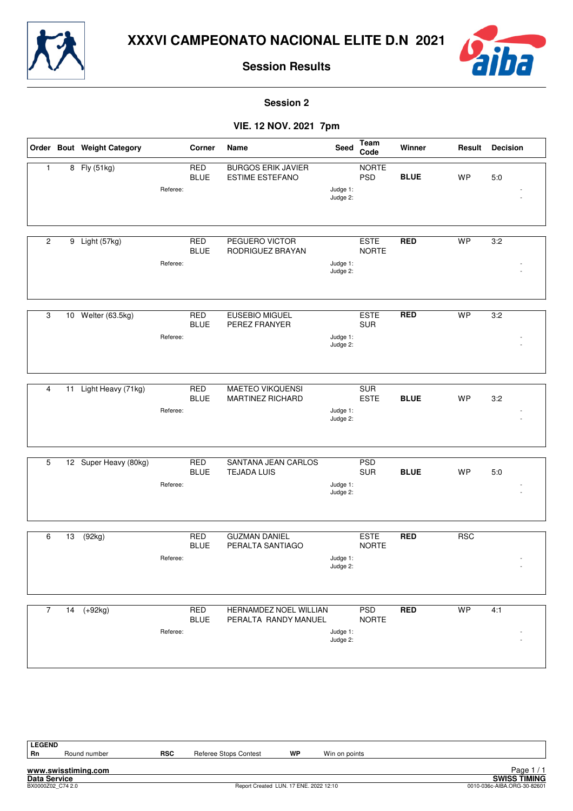



**Session 2**

#### **VIE. 12 NOV. 2021 7pm**

|                |    | Order Bout Weight Category |          | Corner                    | Name                                                | <b>Seed</b>          | Team<br>Code                | Winner      | Result     | <b>Decision</b> |
|----------------|----|----------------------------|----------|---------------------------|-----------------------------------------------------|----------------------|-----------------------------|-------------|------------|-----------------|
| $\mathbf{1}$   |    | 8 Fly (51kg)               | Referee: | <b>RED</b><br><b>BLUE</b> | <b>BURGOS ERIK JAVIER</b><br><b>ESTIME ESTEFANO</b> | Judge 1:<br>Judge 2: | <b>NORTE</b><br><b>PSD</b>  | <b>BLUE</b> | <b>WP</b>  | 5:0             |
|                |    |                            |          |                           |                                                     |                      |                             |             | <b>WP</b>  |                 |
| $\overline{c}$ |    | 9 Light (57kg)             | Referee: | <b>RED</b><br><b>BLUE</b> | PEGUERO VICTOR<br>RODRIGUEZ BRAYAN                  | Judge 1:<br>Judge 2: | <b>ESTE</b><br><b>NORTE</b> | <b>RED</b>  |            | 3:2             |
| 3              |    | 10 Welter (63.5kg)         |          | <b>RED</b>                | <b>EUSEBIO MIGUEL</b>                               |                      | <b>ESTE</b>                 | <b>RED</b>  | <b>WP</b>  | 3:2             |
|                |    |                            |          | <b>BLUE</b>               | PEREZ FRANYER                                       |                      | <b>SUR</b>                  |             |            |                 |
|                |    |                            | Referee: |                           |                                                     | Judge 1:<br>Judge 2: |                             |             |            |                 |
| 4              |    |                            |          | <b>RED</b>                | <b>MAETEO VIKQUENSI</b>                             |                      | <b>SUR</b>                  |             |            |                 |
|                | 11 | Light Heavy (71kg)         |          | <b>BLUE</b>               | <b>MARTINEZ RICHARD</b>                             |                      | <b>ESTE</b>                 | <b>BLUE</b> | <b>WP</b>  | 3:2             |
|                |    |                            | Referee: |                           |                                                     | Judge 1:<br>Judge 2: |                             |             |            |                 |
|                |    |                            |          |                           |                                                     |                      |                             |             |            |                 |
| 5              |    | 12 Super Heavy (80kg)      |          | <b>RED</b><br><b>BLUE</b> | SANTANA JEAN CARLOS<br><b>TEJADA LUIS</b>           |                      | <b>PSD</b><br><b>SUR</b>    | <b>BLUE</b> | WP         | 5:0             |
|                |    |                            | Referee: |                           |                                                     | Judge 1:<br>Judge 2: |                             |             |            |                 |
|                |    |                            |          |                           | <b>GUZMAN DANIEL</b>                                |                      | <b>ESTE</b>                 |             |            |                 |
| 6              | 13 | (92kg)                     |          | <b>RED</b><br><b>BLUE</b> | PERALTA SANTIAGO                                    |                      | <b>NORTE</b>                | <b>RED</b>  | <b>RSC</b> |                 |
|                |    |                            | Referee: |                           |                                                     | Judge 1:<br>Judge 2: |                             |             |            |                 |
| 7              |    |                            |          | <b>RED</b>                | HERNAMDEZ NOEL WILLIAN                              |                      | <b>PSD</b>                  | <b>RED</b>  | <b>WP</b>  | 4:1             |
|                |    | 14 (+92kg)                 | Referee: | <b>BLUE</b>               | PERALTA RANDY MANUEL                                | Judge 1:<br>Judge 2: | <b>NORTE</b>                |             |            |                 |
|                |    |                            |          |                           |                                                     |                      |                             |             |            |                 |

**LEGEND**

Round number **RSC** Referee Stops Contest **WP** Win on points

**www.swisstiming.com**

**Data Service SWISS TIMING** Page 17 1<br>
BXVISS TIMING<br>
80010-036c-AIBA.ORG-30-82601 0010-036c-AIBA.ORG-30-82601 0010-036c-AIBA.ORG-30-82601 Page 1 / 1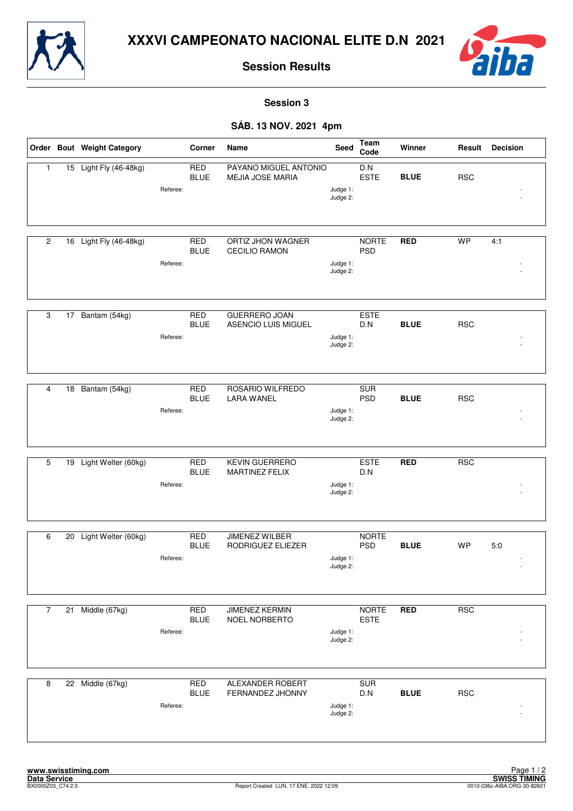



**Session 3**

#### **SÁB. 13 NOV. 2021 4pm**

|                |    | Order Bout Weight Category |          | Corner                    | Name                                        | Seed                 | Team<br>Code                | Winner      | Result     | <b>Decision</b> |
|----------------|----|----------------------------|----------|---------------------------|---------------------------------------------|----------------------|-----------------------------|-------------|------------|-----------------|
| $\mathbf{1}$   |    | 15 Light Fly (46-48kg)     | Referee: | <b>RED</b><br><b>BLUE</b> | PAYANO MIGUEL ANTONIO<br>MEJIA JOSE MARIA   | Judge 1:<br>Judge 2: | D.N<br><b>ESTE</b>          | <b>BLUE</b> | <b>RSC</b> |                 |
| $\overline{2}$ |    | 16 Light Fly (46-48kg)     | Referee: | <b>RED</b><br><b>BLUE</b> | ORTIZ JHON WAGNER<br><b>CECILIO RAMON</b>   | Judge 1:<br>Judge 2: | <b>NORTE</b><br><b>PSD</b>  | <b>RED</b>  | <b>WP</b>  | 4:1             |
| 3              |    | 17 Bantam (54kg)           | Referee: | <b>RED</b><br><b>BLUE</b> | <b>GUERRERO JOAN</b><br>ASENCIO LUIS MIGUEL | Judge 1:<br>Judge 2: | <b>ESTE</b><br>D.N          | <b>BLUE</b> | <b>RSC</b> |                 |
| 4              | 18 | Bantam (54kg)              | Referee: | <b>RED</b><br><b>BLUE</b> | ROSARIO WILFREDO<br><b>LARA WANEL</b>       | Judge 1:<br>Judge 2: | <b>SUR</b><br><b>PSD</b>    | <b>BLUE</b> | <b>RSC</b> |                 |
| 5              | 19 | Light Welter (60kg)        | Referee: | <b>RED</b><br><b>BLUE</b> | <b>KEVIN GUERRERO</b><br>MARTINEZ FELIX     | Judge 1:<br>Judge 2: | <b>ESTE</b><br>D.N          | <b>RED</b>  | <b>RSC</b> |                 |
| 6              | 20 | Light Welter (60kg)        | Referee: | <b>RED</b><br><b>BLUE</b> | JIMENEZ WILBER<br>RODRIGUEZ ELIEZER         | Judge 1:<br>Judge 2: | <b>NORTE</b><br><b>PSD</b>  | <b>BLUE</b> | WP         | 5:0             |
| $\overline{7}$ | 21 | Middle (67kg)              | Referee: | <b>RED</b><br><b>BLUE</b> | <b>JIMENEZ KERMIN</b><br>NOEL NORBERTO      | Judge 1:<br>Judge 2: | <b>NORTE</b><br><b>ESTE</b> | <b>RED</b>  | <b>RSC</b> |                 |
| 8              |    | 22 Middle (67kg)           | Referee: | <b>RED</b><br><b>BLUE</b> | ALEXANDER ROBERT<br>FERNANDEZ JHONNY        | Judge 1:<br>Judge 2: | <b>SUR</b><br>D.N           | <b>BLUE</b> | <b>RSC</b> |                 |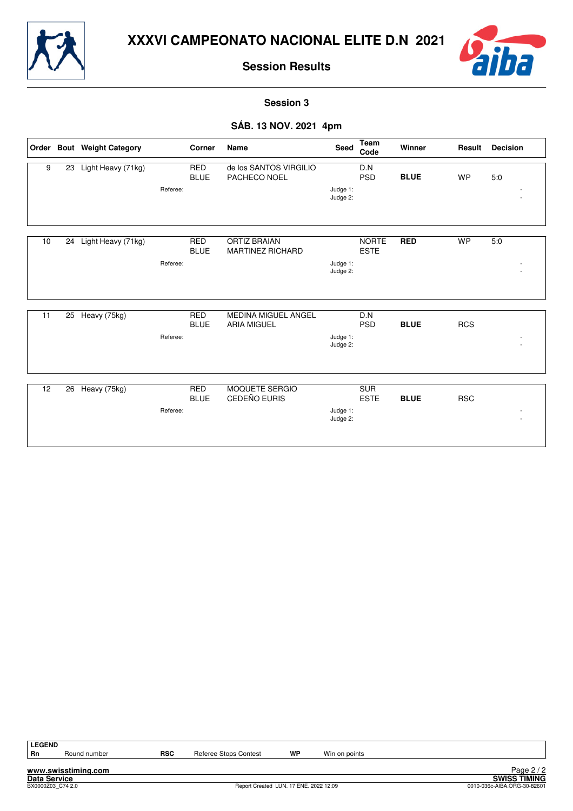



**Session 3**

## **SÁB. 13 NOV. 2021 4pm**

|    |    | Order Bout Weight Category |          | Corner                    | Name                                             | <b>Seed</b>          | <b>Team</b><br>Code         | Winner      | Result     | <b>Decision</b> |
|----|----|----------------------------|----------|---------------------------|--------------------------------------------------|----------------------|-----------------------------|-------------|------------|-----------------|
| 9  | 23 | Light Heavy (71kg)         |          | <b>RED</b><br><b>BLUE</b> | de los SANTOS VIRGILIO<br>PACHECO NOEL           |                      | D.N<br><b>PSD</b>           | <b>BLUE</b> | <b>WP</b>  | 5.0             |
|    |    |                            | Referee: |                           |                                                  | Judge 1:<br>Judge 2: |                             |             |            |                 |
| 10 | 24 | Light Heavy (71kg)         |          | <b>RED</b><br><b>BLUE</b> | <b>ORTIZ BRAIAN</b><br><b>MARTINEZ RICHARD</b>   |                      | <b>NORTE</b><br><b>ESTE</b> | <b>RED</b>  | <b>WP</b>  | 5.0             |
|    |    |                            | Referee: |                           |                                                  | Judge 1:<br>Judge 2: |                             |             |            |                 |
|    |    |                            |          |                           |                                                  |                      |                             |             |            |                 |
| 11 | 25 | Heavy (75kg)               |          | <b>RED</b><br><b>BLUE</b> | <b>MEDINA MIGUEL ANGEL</b><br><b>ARIA MIGUEL</b> |                      | D.N<br><b>PSD</b>           | <b>BLUE</b> | <b>RCS</b> |                 |
|    |    |                            | Referee: |                           |                                                  | Judge 1:<br>Judge 2: |                             |             |            |                 |
| 12 | 26 | Heavy (75kg)               |          | <b>RED</b>                | <b>MOQUETE SERGIO</b>                            |                      | <b>SUR</b>                  |             |            |                 |
|    |    |                            |          | <b>BLUE</b>               | CEDEÑO EURIS                                     |                      | <b>ESTE</b>                 | <b>BLUE</b> | <b>RSC</b> |                 |
|    |    |                            | Referee: |                           |                                                  | Judge 1:<br>Judge 2: |                             |             |            |                 |

**LEGEND**

Round number **RSC** Referee Stops Contest **WP** Win on points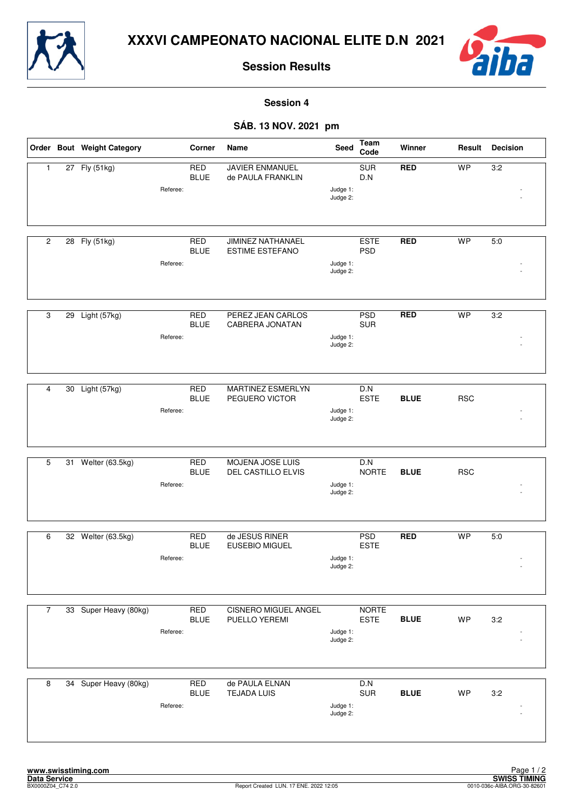



**Session 4**

### **SÁB. 13 NOV. 2021 pm**

|                |    | Order Bout Weight Category |          | Corner                    | Name                                               | Seed                 | Team<br>Code                | Winner      | Result     | <b>Decision</b> |
|----------------|----|----------------------------|----------|---------------------------|----------------------------------------------------|----------------------|-----------------------------|-------------|------------|-----------------|
| 1              |    | 27 Fly (51kg)              | Referee: | <b>RED</b><br><b>BLUE</b> | <b>JAVIER ENMANUEL</b><br>de PAULA FRANKLIN        | Judge 1:<br>Judge 2: | <b>SUR</b><br>D.N           | <b>RED</b>  | <b>WP</b>  | 3:2             |
| 2              |    | 28 Fly (51kg)              | Referee: | <b>RED</b><br><b>BLUE</b> | <b>JIMINEZ NATHANAEL</b><br><b>ESTIME ESTEFANO</b> | Judge 1:<br>Judge 2: | <b>ESTE</b><br><b>PSD</b>   | <b>RED</b>  | <b>WP</b>  | 5:0             |
| 3              | 29 | Light (57kg)               | Referee: | <b>RED</b><br><b>BLUE</b> | PEREZ JEAN CARLOS<br><b>CABRERA JONATAN</b>        | Judge 1:<br>Judge 2: | <b>PSD</b><br><b>SUR</b>    | <b>RED</b>  | <b>WP</b>  | 3:2             |
| 4              | 30 | Light (57kg)               | Referee: | <b>RED</b><br><b>BLUE</b> | <b>MARTINEZ ESMERLYN</b><br>PEGUERO VICTOR         | Judge 1:<br>Judge 2: | D.N<br><b>ESTE</b>          | <b>BLUE</b> | <b>RSC</b> |                 |
| 5              | 31 | Welter (63.5kg)            | Referee: | <b>RED</b><br><b>BLUE</b> | MOJENA JOSE LUIS<br>DEL CASTILLO ELVIS             | Judge 1:<br>Judge 2: | D.N<br><b>NORTE</b>         | <b>BLUE</b> | <b>RSC</b> |                 |
| 6              |    | 32 Welter (63.5kg)         | Referee: | <b>RED</b><br><b>BLUE</b> | de JESUS RINER<br><b>EUSEBIO MIGUEL</b>            | Judge 1:<br>Judge 2: | <b>PSD</b><br><b>ESTE</b>   | <b>RED</b>  | <b>WP</b>  | 5.0             |
| $\overline{7}$ |    | 33 Super Heavy (80kg)      | Referee: | <b>RED</b><br><b>BLUE</b> | <b>CISNERO MIGUEL ANGEL</b><br>PUELLO YEREMI       | Judge 1:<br>Judge 2: | <b>NORTE</b><br><b>ESTE</b> | <b>BLUE</b> | <b>WP</b>  | 3:2             |
| 8              |    | 34 Super Heavy (80kg)      | Referee: | <b>RED</b><br><b>BLUE</b> | de PAULA ELNAN<br><b>TEJADA LUIS</b>               | Judge 1:<br>Judge 2: | D.N<br><b>SUR</b>           | <b>BLUE</b> | WP         | 3:2             |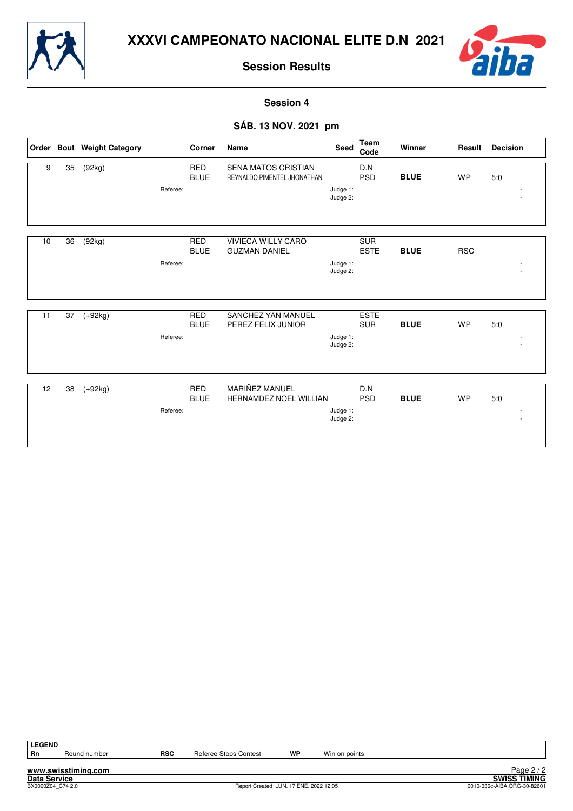



**Session 4**

### **SÁB. 13 NOV. 2021 pm**

|    |    | Order Bout Weight Category |          | Corner                    | <b>Name</b>                                            | Seed                 | <b>Team</b><br>Code       | Winner      | Result     | <b>Decision</b> |
|----|----|----------------------------|----------|---------------------------|--------------------------------------------------------|----------------------|---------------------------|-------------|------------|-----------------|
| 9  | 35 | (92kg)                     | Referee: | <b>RED</b><br><b>BLUE</b> | SENA MATOS CRISTIAN<br>REYNALDO PIMENTEL JHONATHAN     | Judge 1:<br>Judge 2: | D.N<br><b>PSD</b>         | <b>BLUE</b> | <b>WP</b>  | 5.0             |
| 10 | 36 | (92kg)                     | Referee: | <b>RED</b><br><b>BLUE</b> | <b>VIVIECA WILLY CARO</b><br><b>GUZMAN DANIEL</b>      | Judge 1:<br>Judge 2: | <b>SUR</b><br><b>ESTE</b> | <b>BLUE</b> | <b>RSC</b> |                 |
| 11 | 37 | $(+92kg)$                  | Referee: | <b>RED</b><br><b>BLUE</b> | SANCHEZ YAN MANUEL<br>PEREZ FELIX JUNIOR               | Judge 1:<br>Judge 2: | <b>ESTE</b><br><b>SUR</b> | <b>BLUE</b> | WP         | 5:0             |
| 12 | 38 | $(+92kg)$                  | Referee: | <b>RED</b><br><b>BLUE</b> | <b>MARIÑEZ MANUEL</b><br><b>HERNAMDEZ NOEL WILLIAN</b> | Judge 1:<br>Judge 2: | D.N<br><b>PSD</b>         | <b>BLUE</b> | <b>WP</b>  | 5.0             |

**LEGEND**

Round number **RSC** Referee Stops Contest **WP** Win on points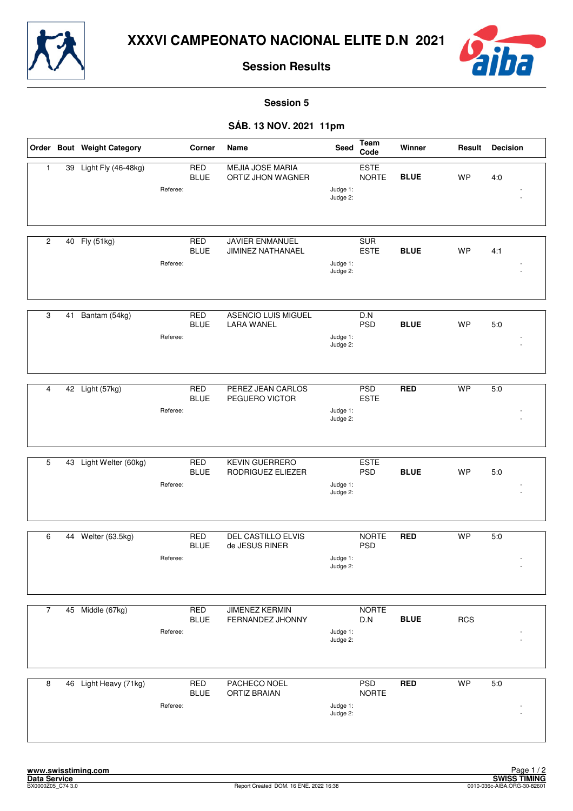



**Session 5**

## **SÁB. 13 NOV. 2021 11pm**

|                |    | Order Bout Weight Category |          | Corner                    | Name                                         | Seed                 | Team<br>Code                | Winner      | Result     | <b>Decision</b> |
|----------------|----|----------------------------|----------|---------------------------|----------------------------------------------|----------------------|-----------------------------|-------------|------------|-----------------|
| 1              | 39 | Light Fly (46-48kg)        | Referee: | <b>RED</b><br><b>BLUE</b> | <b>MEJIA JOSE MARIA</b><br>ORTIZ JHON WAGNER | Judge 1:<br>Judge 2: | <b>ESTE</b><br><b>NORTE</b> | <b>BLUE</b> | <b>WP</b>  | 4:0             |
| 2              |    | 40 Fly (51kg)              | Referee: | <b>RED</b><br><b>BLUE</b> | <b>JAVIER ENMANUEL</b><br>JIMINEZ NATHANAEL  | Judge 1:<br>Judge 2: | <b>SUR</b><br><b>ESTE</b>   | <b>BLUE</b> | <b>WP</b>  | 4:1             |
| 3              | 41 | Bantam (54kg)              | Referee: | <b>RED</b><br><b>BLUE</b> | ASENCIO LUIS MIGUEL<br><b>LARA WANEL</b>     | Judge 1:<br>Judge 2: | D.N<br><b>PSD</b>           | <b>BLUE</b> | <b>WP</b>  | 5:0             |
| 4              | 42 | Light (57kg)               | Referee: | <b>RED</b><br><b>BLUE</b> | <b>PEREZ JEAN CARLOS</b><br>PEGUERO VICTOR   | Judge 1:<br>Judge 2: | <b>PSD</b><br><b>ESTE</b>   | <b>RED</b>  | <b>WP</b>  | 5:0             |
| 5              | 43 | Light Welter (60kg)        | Referee: | <b>RED</b><br><b>BLUE</b> | <b>KEVIN GUERRERO</b><br>RODRIGUEZ ELIEZER   | Judge 1:<br>Judge 2: | <b>ESTE</b><br><b>PSD</b>   | <b>BLUE</b> | <b>WP</b>  | 5:0             |
| 6              | 44 | Welter (63.5kg)            | Referee: | <b>RED</b><br><b>BLUE</b> | <b>DEL CASTILLO ELVIS</b><br>de JESUS RINER  | Judge 1:<br>Judge 2: | <b>NORTE</b><br><b>PSD</b>  | <b>RED</b>  | <b>WP</b>  | 5.0             |
| $\overline{7}$ |    | 45 Middle (67kg)           | Referee: | <b>RED</b><br><b>BLUE</b> | <b>JIMENEZ KERMIN</b><br>FERNANDEZ JHONNY    | Judge 1:<br>Judge 2: | <b>NORTE</b><br>D.N         | <b>BLUE</b> | <b>RCS</b> |                 |
| 8              |    | 46 Light Heavy (71kg)      | Referee: | <b>RED</b><br><b>BLUE</b> | PACHECO NOEL<br><b>ORTIZ BRAIAN</b>          | Judge 1:<br>Judge 2: | <b>PSD</b><br><b>NORTE</b>  | <b>RED</b>  | <b>WP</b>  | 5:0             |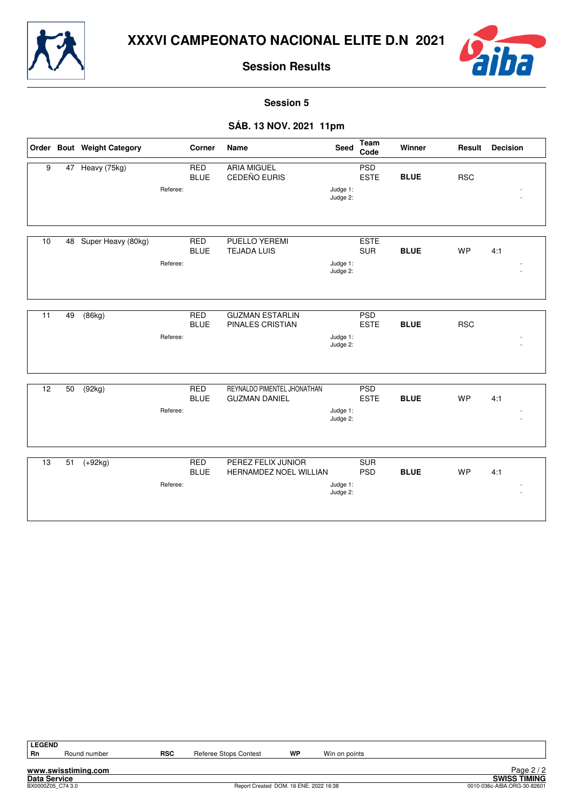



**Session 5**

## **SÁB. 13 NOV. 2021 11pm**

|                 |    | Order Bout Weight Category |          | Corner                    | Name                                                | Seed                 | Team<br>Code              | Winner      | Result     | <b>Decision</b> |
|-----------------|----|----------------------------|----------|---------------------------|-----------------------------------------------------|----------------------|---------------------------|-------------|------------|-----------------|
| 9               |    | 47 Heavy (75kg)            | Referee: | <b>RED</b><br><b>BLUE</b> | <b>ARIA MIGUEL</b><br>CEDEÑO EURIS                  | Judge 1:<br>Judge 2: | PSD<br><b>ESTE</b>        | <b>BLUE</b> | <b>RSC</b> |                 |
| 10              | 48 | Super Heavy (80kg)         | Referee: | <b>RED</b><br><b>BLUE</b> | <b>PUELLO YEREMI</b><br><b>TEJADA LUIS</b>          | Judge 1:<br>Judge 2: | <b>ESTE</b><br><b>SUR</b> | <b>BLUE</b> | <b>WP</b>  | 4:1             |
| 11              | 49 | (86kg)                     | Referee: | <b>RED</b><br><b>BLUE</b> | <b>GUZMAN ESTARLIN</b><br>PINALES CRISTIAN          | Judge 1:<br>Judge 2: | <b>PSD</b><br><b>ESTE</b> | <b>BLUE</b> | <b>RSC</b> |                 |
| $\overline{12}$ | 50 | (92kg)                     | Referee: | <b>RED</b><br><b>BLUE</b> | REYNALDO PIMENTEL JHONATHAN<br><b>GUZMAN DANIEL</b> | Judge 1:<br>Judge 2: | <b>PSD</b><br><b>ESTE</b> | <b>BLUE</b> | <b>WP</b>  | 4:1             |
| 13              | 51 | $(+92kg)$                  | Referee: | <b>RED</b><br><b>BLUE</b> | PEREZ FELIX JUNIOR<br><b>HERNAMDEZ NOEL WILLIAN</b> | Judge 1:<br>Judge 2: | <b>SUR</b><br><b>PSD</b>  | <b>BLUE</b> | <b>WP</b>  | 4:1             |

| <b>LEGEND</b>       |                                                             |            |                       |    |               |  |  |  |  |  |
|---------------------|-------------------------------------------------------------|------------|-----------------------|----|---------------|--|--|--|--|--|
| Rn                  | Round number                                                | <b>RSC</b> | Referee Stops Contest | WP | Win on points |  |  |  |  |  |
|                     |                                                             |            |                       |    |               |  |  |  |  |  |
|                     | www.swisstiming.com                                         |            |                       |    |               |  |  |  |  |  |
| <b>Data Service</b> |                                                             |            |                       |    |               |  |  |  |  |  |
|                     | Report Created DOM. 16 ENE. 2022 16:38<br>BX0000Z05 C74 3.0 |            |                       |    |               |  |  |  |  |  |